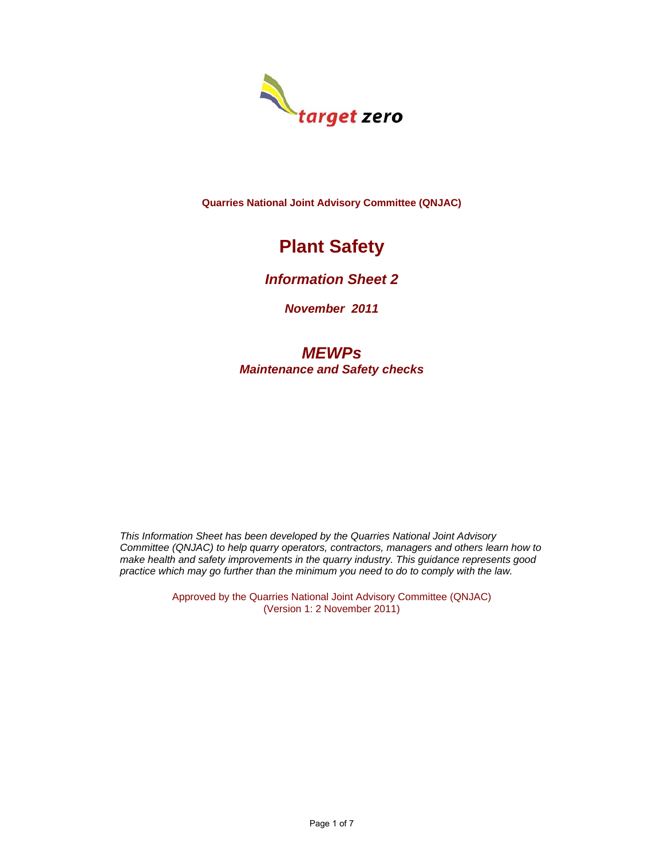

**Quarries National Joint Advisory Committee (QNJAC)** 

# **Plant Safety**

### *Information Sheet 2*

*November 2011*

## *MEWPs Maintenance and Safety checks*

*This Information Sheet has been developed by the Quarries National Joint Advisory Committee (QNJAC) to help quarry operators, contractors, managers and others learn how to make health and safety improvements in the quarry industry. This guidance represents good practice which may go further than the minimum you need to do to comply with the law.*

> Approved by the Quarries National Joint Advisory Committee (QNJAC) (Version 1: 2 November 2011)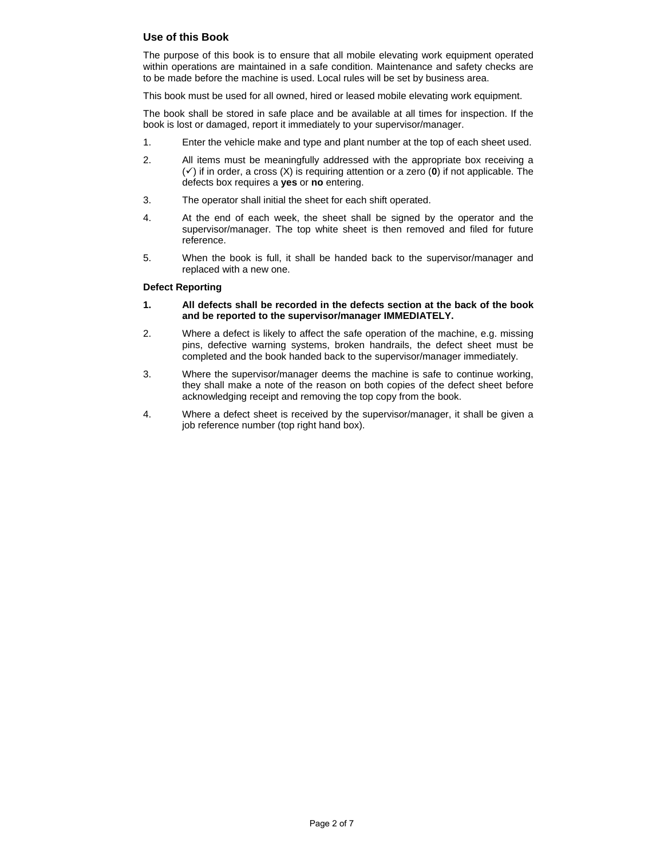#### **Use of this Book**

The purpose of this book is to ensure that all mobile elevating work equipment operated within operations are maintained in a safe condition. Maintenance and safety checks are to be made before the machine is used. Local rules will be set by business area.

This book must be used for all owned, hired or leased mobile elevating work equipment.

The book shall be stored in safe place and be available at all times for inspection. If the book is lost or damaged, report it immediately to your supervisor/manager.

- 1. Enter the vehicle make and type and plant number at the top of each sheet used.
- 2. All items must be meaningfully addressed with the appropriate box receiving a  $(\checkmark)$  if in order, a cross  $(X)$  is requiring attention or a zero (**0**) if not applicable. The defects box requires a **yes** or **no** entering.
- 3. The operator shall initial the sheet for each shift operated.
- 4. At the end of each week, the sheet shall be signed by the operator and the supervisor/manager. The top white sheet is then removed and filed for future reference.
- 5. When the book is full, it shall be handed back to the supervisor/manager and replaced with a new one.

#### **Defect Reporting**

- **1. All defects shall be recorded in the defects section at the back of the book and be reported to the supervisor/manager IMMEDIATELY.**
- 2. Where a defect is likely to affect the safe operation of the machine, e.g. missing pins, defective warning systems, broken handrails, the defect sheet must be completed and the book handed back to the supervisor/manager immediately.
- 3. Where the supervisor/manager deems the machine is safe to continue working, they shall make a note of the reason on both copies of the defect sheet before acknowledging receipt and removing the top copy from the book.
- 4. Where a defect sheet is received by the supervisor/manager, it shall be given a job reference number (top right hand box).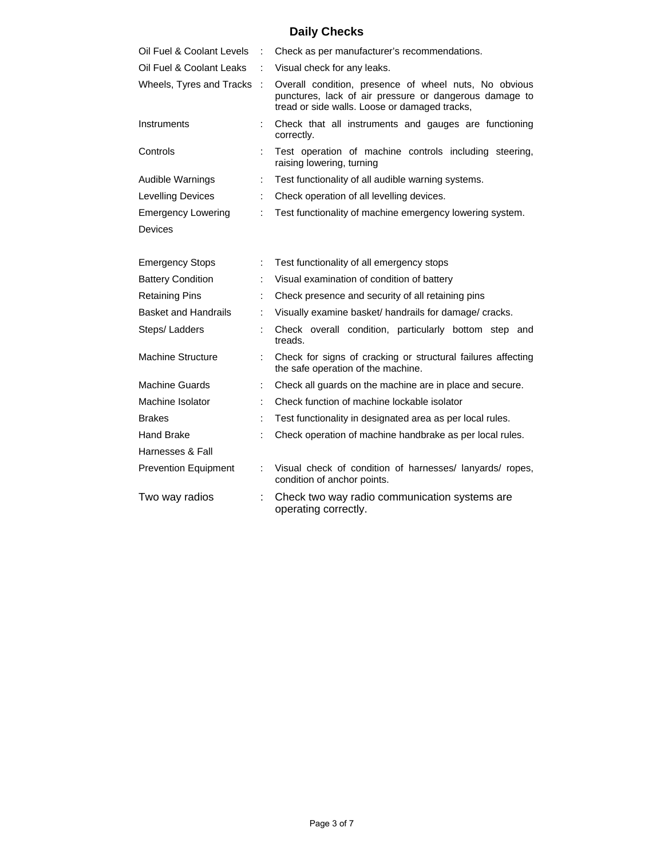# **Daily Checks**

| Oil Fuel & Coolant Levels   |   | Check as per manufacturer's recommendations.                                                                                                                     |  |  |  |
|-----------------------------|---|------------------------------------------------------------------------------------------------------------------------------------------------------------------|--|--|--|
| Oil Fuel & Coolant Leaks    | ÷ | Visual check for any leaks.                                                                                                                                      |  |  |  |
| Wheels, Tyres and Tracks    | ÷ | Overall condition, presence of wheel nuts, No obvious<br>punctures, lack of air pressure or dangerous damage to<br>tread or side walls. Loose or damaged tracks, |  |  |  |
| Instruments                 |   | Check that all instruments and gauges are functioning<br>correctly.                                                                                              |  |  |  |
| Controls                    |   | Test operation of machine controls including steering,<br>raising lowering, turning                                                                              |  |  |  |
| Audible Warnings            | ÷ | Test functionality of all audible warning systems.                                                                                                               |  |  |  |
| Levelling Devices           | ÷ | Check operation of all levelling devices.                                                                                                                        |  |  |  |
| <b>Emergency Lowering</b>   |   | Test functionality of machine emergency lowering system.                                                                                                         |  |  |  |
| <b>Devices</b>              |   |                                                                                                                                                                  |  |  |  |
|                             |   |                                                                                                                                                                  |  |  |  |
| <b>Emergency Stops</b>      | ÷ | Test functionality of all emergency stops                                                                                                                        |  |  |  |
| <b>Battery Condition</b>    |   | Visual examination of condition of battery                                                                                                                       |  |  |  |
| <b>Retaining Pins</b>       |   | Check presence and security of all retaining pins                                                                                                                |  |  |  |
| <b>Basket and Handrails</b> |   | Visually examine basket/ handrails for damage/ cracks.                                                                                                           |  |  |  |
| Steps/ Ladders              |   | Check overall condition, particularly bottom step and<br>treads.                                                                                                 |  |  |  |
| <b>Machine Structure</b>    |   | Check for signs of cracking or structural failures affecting<br>the safe operation of the machine.                                                               |  |  |  |
| <b>Machine Guards</b>       | ÷ | Check all guards on the machine are in place and secure.                                                                                                         |  |  |  |
| Machine Isolator            |   | Check function of machine lockable isolator                                                                                                                      |  |  |  |
| <b>Brakes</b>               |   | Test functionality in designated area as per local rules.                                                                                                        |  |  |  |
| Hand Brake                  |   | Check operation of machine handbrake as per local rules.                                                                                                         |  |  |  |
| Harnesses & Fall            |   |                                                                                                                                                                  |  |  |  |
| <b>Prevention Equipment</b> |   | Visual check of condition of harnesses/ lanyards/ ropes,<br>condition of anchor points.                                                                          |  |  |  |
| Two way radios              |   | Check two way radio communication systems are<br>operating correctly.                                                                                            |  |  |  |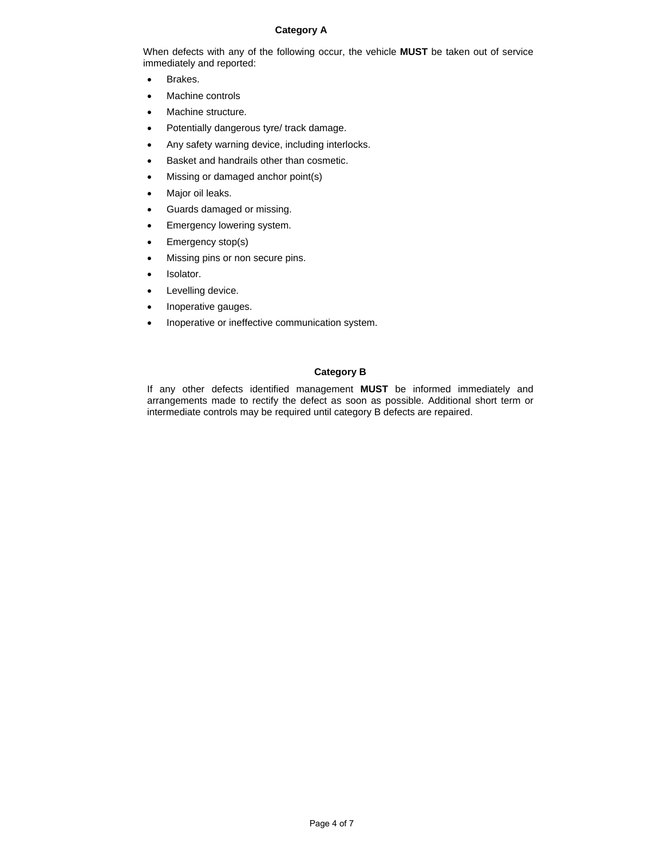#### **Category A**

When defects with any of the following occur, the vehicle **MUST** be taken out of service immediately and reported:

- Brakes.
- Machine controls
- Machine structure.
- Potentially dangerous tyre/ track damage.
- Any safety warning device, including interlocks.
- Basket and handrails other than cosmetic.
- Missing or damaged anchor point(s)
- Major oil leaks.
- Guards damaged or missing.
- Emergency lowering system.
- Emergency stop(s)
- Missing pins or non secure pins.
- Isolator.
- Levelling device.
- Inoperative gauges.
- Inoperative or ineffective communication system.

#### **Category B**

If any other defects identified management **MUST** be informed immediately and arrangements made to rectify the defect as soon as possible. Additional short term or intermediate controls may be required until category B defects are repaired.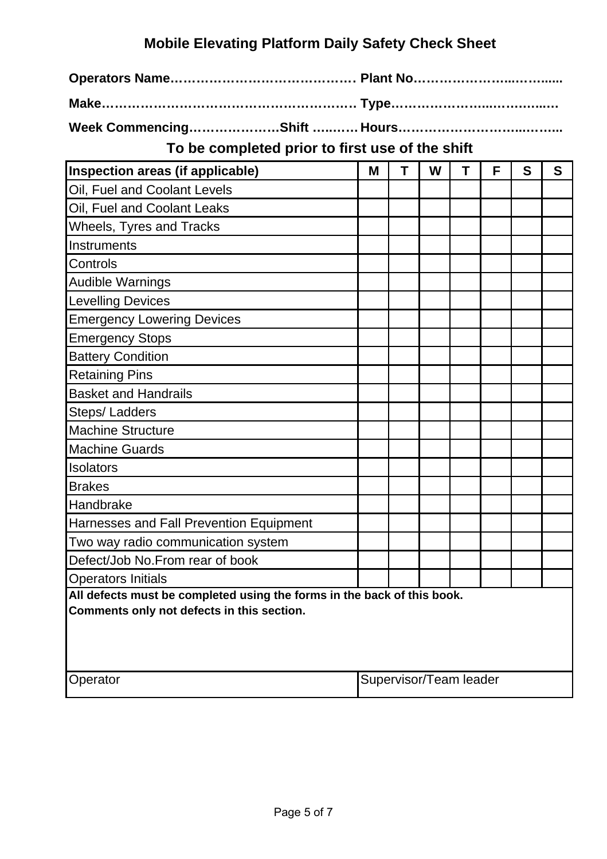#### **Mobile Elevating Platform Daily Safety Check Sheet**

**Operators Name……………………………………… Plant No…………………...……......**

**Make…………………………………………………… Type…………………...…….…...…**

**Week Commencing…………………Shift …..…… Hours………………………...……...**

**To be completed prior to first use of the shift**

| Inspection areas (if applicable)                                                                                      | м                      | т | W | т | F | S | S |
|-----------------------------------------------------------------------------------------------------------------------|------------------------|---|---|---|---|---|---|
| Oil, Fuel and Coolant Levels                                                                                          |                        |   |   |   |   |   |   |
| Oil, Fuel and Coolant Leaks                                                                                           |                        |   |   |   |   |   |   |
| Wheels, Tyres and Tracks                                                                                              |                        |   |   |   |   |   |   |
| Instruments                                                                                                           |                        |   |   |   |   |   |   |
| Controls                                                                                                              |                        |   |   |   |   |   |   |
| <b>Audible Warnings</b>                                                                                               |                        |   |   |   |   |   |   |
| <b>Levelling Devices</b>                                                                                              |                        |   |   |   |   |   |   |
| <b>Emergency Lowering Devices</b>                                                                                     |                        |   |   |   |   |   |   |
| <b>Emergency Stops</b>                                                                                                |                        |   |   |   |   |   |   |
| <b>Battery Condition</b>                                                                                              |                        |   |   |   |   |   |   |
| <b>Retaining Pins</b>                                                                                                 |                        |   |   |   |   |   |   |
| <b>Basket and Handrails</b>                                                                                           |                        |   |   |   |   |   |   |
| Steps/ Ladders                                                                                                        |                        |   |   |   |   |   |   |
| <b>Machine Structure</b>                                                                                              |                        |   |   |   |   |   |   |
| <b>Machine Guards</b>                                                                                                 |                        |   |   |   |   |   |   |
| Isolators                                                                                                             |                        |   |   |   |   |   |   |
| <b>Brakes</b>                                                                                                         |                        |   |   |   |   |   |   |
| Handbrake                                                                                                             |                        |   |   |   |   |   |   |
| Harnesses and Fall Prevention Equipment                                                                               |                        |   |   |   |   |   |   |
| Two way radio communication system                                                                                    |                        |   |   |   |   |   |   |
| Defect/Job No. From rear of book                                                                                      |                        |   |   |   |   |   |   |
| <b>Operators Initials</b>                                                                                             |                        |   |   |   |   |   |   |
| All defects must be completed using the forms in the back of this book.<br>Comments only not defects in this section. |                        |   |   |   |   |   |   |
| Operator                                                                                                              | Supervisor/Team leader |   |   |   |   |   |   |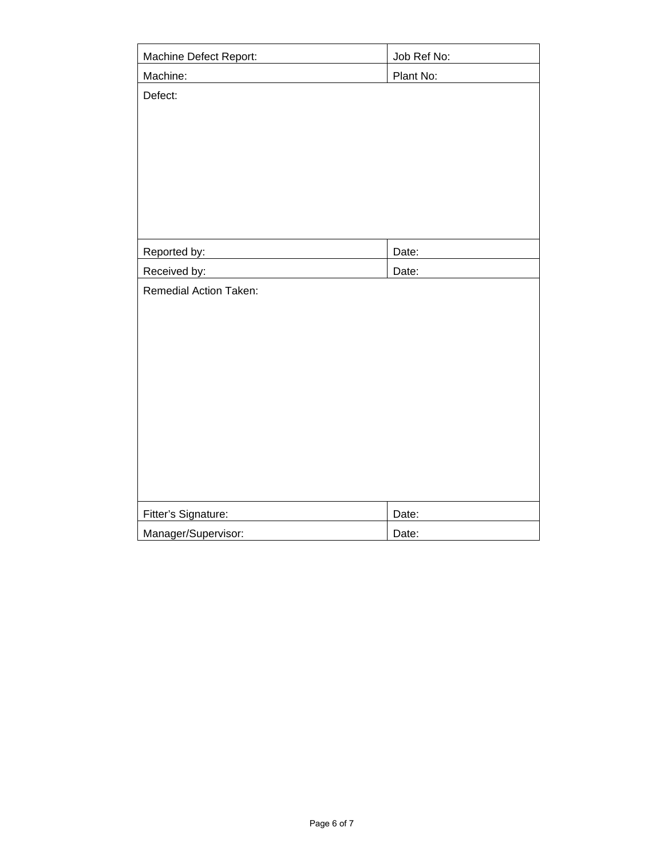| Machine Defect Report:        | Job Ref No: |  |  |  |  |
|-------------------------------|-------------|--|--|--|--|
| Machine:                      | Plant No:   |  |  |  |  |
| Defect:                       |             |  |  |  |  |
|                               |             |  |  |  |  |
|                               |             |  |  |  |  |
|                               |             |  |  |  |  |
|                               |             |  |  |  |  |
|                               |             |  |  |  |  |
|                               |             |  |  |  |  |
|                               |             |  |  |  |  |
| Reported by:                  | Date:       |  |  |  |  |
| Received by:                  | Date:       |  |  |  |  |
| <b>Remedial Action Taken:</b> |             |  |  |  |  |
|                               |             |  |  |  |  |
|                               |             |  |  |  |  |
|                               |             |  |  |  |  |
|                               |             |  |  |  |  |
|                               |             |  |  |  |  |
|                               |             |  |  |  |  |
|                               |             |  |  |  |  |
|                               |             |  |  |  |  |
|                               |             |  |  |  |  |
|                               |             |  |  |  |  |
| Fitter's Signature:           | Date:       |  |  |  |  |
| Manager/Supervisor:           | Date:       |  |  |  |  |